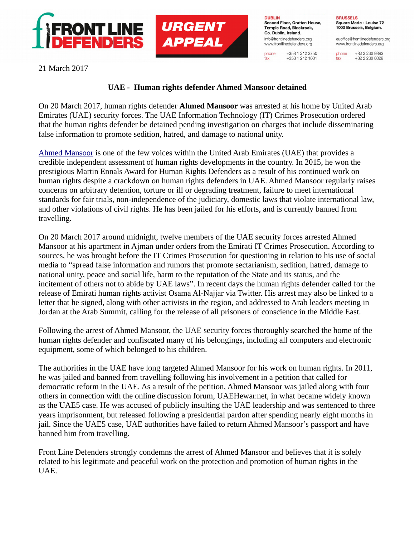



**DUBLIN** Second Floor, Grattan House, Temple Road, Blackrock. Co. Dublin, Ireland. info@frontlinedefenders.org www.frontlinedefenders.org

phone

fax

+353 1 212 3750

 $+353$  1 212 1001

**BRUSSELS** Square Marie - Louise 72 1000 Brussels, Belgium.

euoffice@frontlinedefenders.org www.frontlinedefenders.org

+32 2 230 9383 phone +32 2 230 0028 fax

21 March 2017

## **UAE - Human rights defender Ahmed Mansoor detained**

On 20 March 2017, human rights defender **Ahmed Mansoor** was arrested at his home by United Arab Emirates (UAE) security forces. The UAE Information Technology (IT) Crimes Prosecution ordered that the human rights defender be detained pending investigation on charges that include disseminating false information to promote sedition, hatred, and damage to national unity.

[Ahmed Mansoor](https://www.frontlinedefenders.org/en/profile/ahmed-mansoor) is one of the few voices within the United Arab Emirates (UAE) that provides a credible independent assessment of human rights developments in the country. In 2015, he won the prestigious Martin Ennals Award for Human Rights Defenders as a result of his continued work on human rights despite a crackdown on human rights defenders in UAE. Ahmed Mansoor regularly raises concerns on arbitrary detention, torture or ill or degrading treatment, failure to meet international standards for fair trials, non-independence of the judiciary, domestic laws that violate international law, and other violations of civil rights. He has been jailed for his efforts, and is currently banned from travelling.

On 20 March 2017 around midnight, twelve members of the UAE security forces arrested Ahmed Mansoor at his apartment in Ajman under orders from the Emirati IT Crimes Prosecution. According to sources, he was brought before the IT Crimes Prosecution for questioning in relation to his use of social media to "spread false information and rumors that promote sectarianism, sedition, hatred, damage to national unity, peace and social life, harm to the reputation of the State and its status, and the incitement of others not to abide by UAE laws". In recent days the human rights defender called for the release of Emirati human rights activist Osama Al-Najjar via Twitter. His arrest may also be linked to a letter that he signed, along with other activists in the region, and addressed to Arab leaders meeting in Jordan at the Arab Summit, calling for the release of all prisoners of conscience in the Middle East.

Following the arrest of Ahmed Mansoor, the UAE security forces thoroughly searched the home of the human rights defender and confiscated many of his belongings, including all computers and electronic equipment, some of which belonged to his children.

The authorities in the UAE have long targeted Ahmed Mansoor for his work on human rights. In 2011, he was jailed and banned from travelling following his involvement in a petition that called for democratic reform in the UAE. As a result of the petition, Ahmed Mansoor was jailed along with four others in connection with the online discussion forum, UAEHewar.net, in what became widely known as the UAE5 case. He was accused of publicly insulting the UAE leadership and was sentenced to three years imprisonment, but released following a presidential pardon after spending nearly eight months in jail. Since the UAE5 case, UAE authorities have failed to return Ahmed Mansoor's passport and have banned him from travelling.

Front Line Defenders strongly condemns the arrest of Ahmed Mansoor and believes that it is solely related to his legitimate and peaceful work on the protection and promotion of human rights in the UAE.